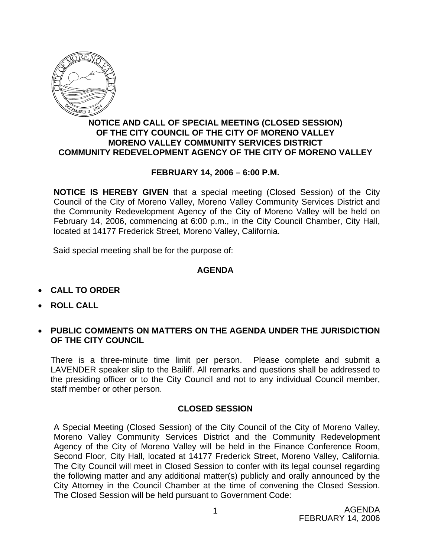

## **NOTICE AND CALL OF SPECIAL MEETING (CLOSED SESSION) OF THE CITY COUNCIL OF THE CITY OF MORENO VALLEY MORENO VALLEY COMMUNITY SERVICES DISTRICT COMMUNITY REDEVELOPMENT AGENCY OF THE CITY OF MORENO VALLEY**

## **FEBRUARY 14, 2006 – 6:00 P.M.**

**NOTICE IS HEREBY GIVEN** that a special meeting (Closed Session) of the City Council of the City of Moreno Valley, Moreno Valley Community Services District and the Community Redevelopment Agency of the City of Moreno Valley will be held on February 14, 2006, commencing at 6:00 p.m., in the City Council Chamber, City Hall, located at 14177 Frederick Street, Moreno Valley, California.

Said special meeting shall be for the purpose of:

## **AGENDA**

- **CALL TO ORDER**
- **ROLL CALL**
- **PUBLIC COMMENTS ON MATTERS ON THE AGENDA UNDER THE JURISDICTION OF THE CITY COUNCIL**

There is a three-minute time limit per person. Please complete and submit a LAVENDER speaker slip to the Bailiff. All remarks and questions shall be addressed to the presiding officer or to the City Council and not to any individual Council member, staff member or other person.

## **CLOSED SESSION**

A Special Meeting (Closed Session) of the City Council of the City of Moreno Valley, Moreno Valley Community Services District and the Community Redevelopment Agency of the City of Moreno Valley will be held in the Finance Conference Room, Second Floor, City Hall, located at 14177 Frederick Street, Moreno Valley, California. The City Council will meet in Closed Session to confer with its legal counsel regarding the following matter and any additional matter(s) publicly and orally announced by the City Attorney in the Council Chamber at the time of convening the Closed Session. The Closed Session will be held pursuant to Government Code: